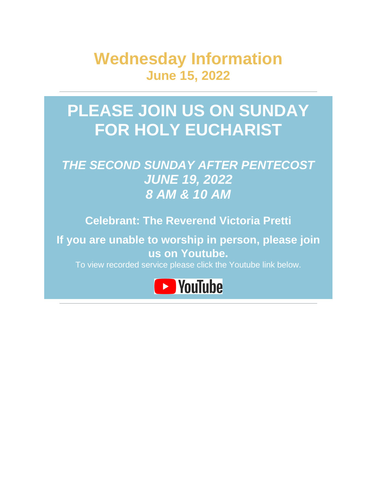**Wednesday Information June 15, 2022**

# **PLEASE JOIN US ON SUNDAY FOR HOLY EUCHARIST**

## *THE SECOND SUNDAY AFTER PENTECOST JUNE 19, 2022 8 AM & 10 AM*

**Celebrant: The Reverend Victoria Pretti**

**If you are unable to worship in person, please join us on Youtube.**

To view recorded service please click the Youtube link below.

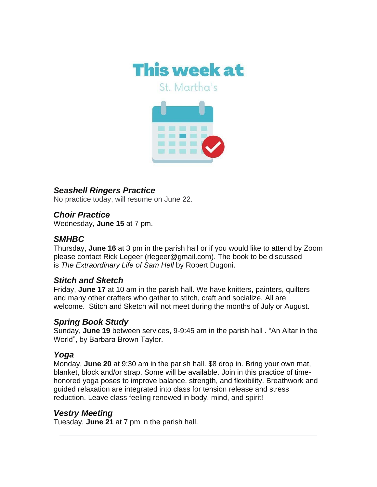

St. Martha's



#### *Seashell Ringers Practice*

No practice today, will resume on June 22.

#### *Choir Practice*

Wednesday, **June 15** at 7 pm.

#### *SMHBC*

Thursday, **June 16** at 3 pm in the parish hall or if you would like to attend by Zoom please contact Rick Legeer (rlegeer@gmail.com). The book to be discussed is *The Extraordinary Life of Sam Hell* by Robert Dugoni.

#### *Stitch and Sketch*

Friday, **June 17** at 10 am in the parish hall. We have knitters, painters, quilters and many other crafters who gather to stitch, craft and socialize. All are welcome. Stitch and Sketch will not meet during the months of July or August.

#### *Spring Book Study*

Sunday, **June 19** between services, 9-9:45 am in the parish hall . "An Altar in the World", by Barbara Brown Taylor.

#### *Yoga*

Monday, **June 20** at 9:30 am in the parish hall. \$8 drop in. Bring your own mat, blanket, block and/or strap. Some will be available. Join in this practice of timehonored yoga poses to improve balance, strength, and flexibility. Breathwork and guided relaxation are integrated into class for tension release and stress reduction. Leave class feeling renewed in body, mind, and spirit!

#### *Vestry Meeting*

Tuesday, **June 21** at 7 pm in the parish hall.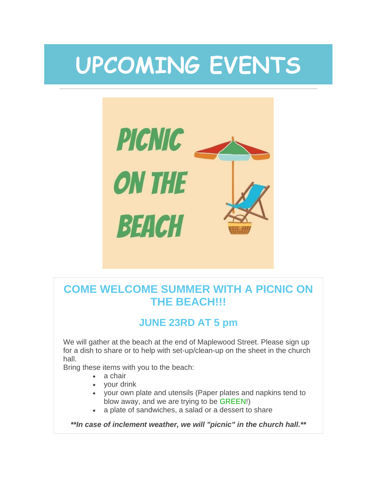# **UPCOMING EVENTS**



## **COME WELCOME SUMMER WITH A PICNIC ON THE BEACH!!!**

## **JUNE 23RD AT 5 pm**

We will gather at the beach at the end of Maplewood Street. Please sign up for a dish to share or to help with set-up/clean-up on the sheet in the church hall.

Bring these items with you to the beach:

- a chair
- your drink
- your own plate and utensils (Paper plates and napkins tend to blow away, and we are trying to be GREEN!)
- a plate of sandwiches, a salad or a dessert to share

*\*\*In case of inclement weather, we will "picnic" in the church hall.\*\**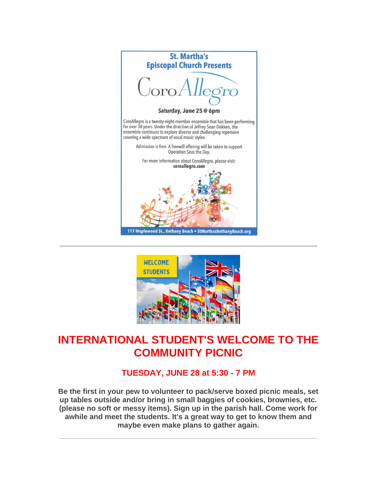



## **INTERNATIONAL STUDENT'S WELCOME TO THE COMMUNITY PICNIC**

### **TUESDAY, JUNE 28 at 5:30 - 7 PM**

**Be the first in your pew to volunteer to pack/serve boxed picnic meals, set up tables outside and/or bring in small baggies of cookies, brownies, etc. (please no soft or messy items). Sign up in the parish hall. Come work for awhile and meet the students. It's a great way to get to know them and maybe even make plans to gather again.**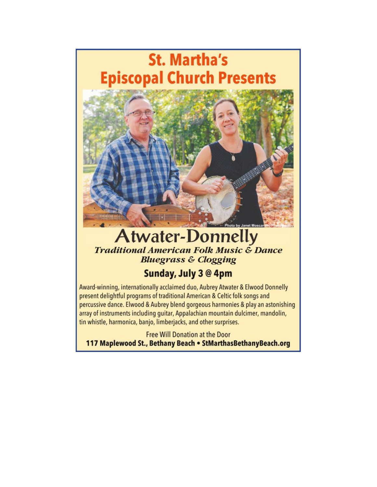

## **Atwater-Donnelly Traditional American Folk Music & Dance Bluegrass & Clogging**

## Sunday, July 3 @ 4pm

Award-winning, internationally acclaimed duo, Aubrey Atwater & Elwood Donnelly present delightful programs of traditional American & Celtic folk songs and percussive dance. Elwood & Aubrey blend gorgeous harmonies & play an astonishing array of instruments including guitar, Appalachian mountain dulcimer, mandolin, tin whistle, harmonica, banjo, limberjacks, and other surprises.

**Free Will Donation at the Door** 117 Maplewood St., Bethany Beach . StMarthasBethanyBeach.org